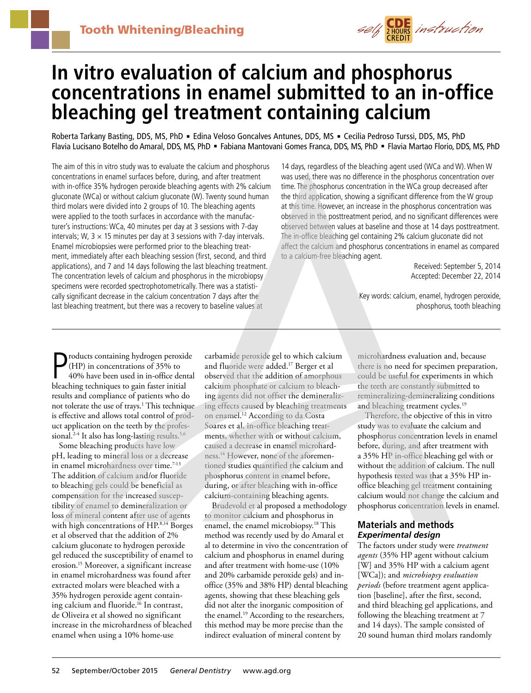

# **In vitro evaluation of calcium and phosphorus concentrations in enamel submitted to an in-office bleaching gel treatment containing calcium**

Roberta Tarkany Basting, DDS, MS, PhD · Edina Veloso Goncalves Antunes, DDS, MS · Cecilia Pedroso Turssi, DDS, MS, PhD Flavia Lucisano Botelho do Amaral, DDS, MS, PhD = Fabiana Mantovani Gomes Franca, DDS, MS, PhD = Flavia Martao Florio, DDS, MS, PhD

The aim of this in vitro study was to evaluate the calcium and phosphorus concentrations in enamel surfaces before, during, and after treatment with in-office 35% hydrogen peroxide bleaching agents with 2% calcium gluconate (WCa) or without calcium gluconate (W). Twenty sound human third molars were divided into 2 groups of 10. The bleaching agents were applied to the tooth surfaces in accordance with the manufacturer's instructions: WCa, 40 minutes per day at 3 sessions with 7-day intervals; W,  $3 \times 15$  minutes per day at 3 sessions with 7-day intervals. Enamel microbiopsies were performed prior to the bleaching treatment, immediately after each bleaching session (first, second, and third applications), and 7 and 14 days following the last bleaching treatment. The concentration levels of calcium and phosphorus in the microbiopsy specimens were recorded spectrophotometrically. There was a statistically significant decrease in the calcium concentration 7 days after the last bleaching treatment, but there was a recovery to baseline values at

14 days, regardless of the bleaching agent used (WCa and W). When W was used, there was no difference in the phosphorus concentration over time. The phosphorus concentration in the WCa group decreased after the third application, showing a significant difference from the W group at this time. However, an increase in the phosphorus concentration was observed in the posttreatment period, and no significant differences were observed between values at baseline and those at 14 days posttreatment. The in-office bleaching gel containing 2% calcium gluconate did not affect the calcium and phosphorus concentrations in enamel as compared to a calcium-free bleaching agent.

> Received: September 5, 2014 Accepted: December 22, 2014

Key words: calcium, enamel, hydrogen peroxide, phosphorus, tooth bleaching

**P** roducts containing hydrogen peroxid (HP) in concentrations of 35% to 40% have been used in in-office dentiled bleaching techniques to gain faster initial roducts containing hydrogen peroxide (HP) in concentrations of 35% to 40% have been used in in-office dental results and compliance of patients who do not tolerate the use of trays.<sup>1</sup> This technique is effective and allows total control of product application on the teeth by the professional.<sup>2-4</sup> It also has long-lasting results.<sup>5,6</sup>

Some bleaching products have low pH, leading to mineral loss or a decrease in enamel microhardness over time.<sup>7-13</sup> The addition of calcium and/or fluoride to bleaching gels could be beneficial as compensation for the increased susceptibility of enamel to demineralization or loss of mineral content after use of agents with high concentrations of HP.<sup>8,14</sup> Borges et al observed that the addition of 2% calcium gluconate to hydrogen peroxide gel reduced the susceptibility of enamel to erosion.15 Moreover, a significant increase in enamel microhardness was found after extracted molars were bleached with a 35% hydrogen peroxide agent containing calcium and fluoride.<sup>16</sup> In contrast, de Oliveira et al showed no significant increase in the microhardness of bleached enamel when using a 10% home-use

carbamide peroxide gel to which calcium and fluoride were added.17 Berger et al observed that the addition of amorphous calcium phosphate or calcium to bleaching agents did not offset the demineralizing effects caused by bleaching treatments on enamel.12 According to da Costa Soares et al, in-office bleaching treatments, whether with or without calcium, caused a decrease in enamel microhardness.14 However, none of the aforementioned studies quantified the calcium and phosphorus content in enamel before, during, or after bleaching with in-office calcium-containing bleaching agents.

Brudevold et al proposed a methodology to monitor calcium and phosphorus in enamel, the enamel microbiopsy.18 This method was recently used by do Amaral et al to determine in vivo the concentration of calcium and phosphorus in enamel during and after treatment with home-use (10% and 20% carbamide peroxide gels) and inoffice (35% and 38% HP) dental bleaching agents, showing that these bleaching gels did not alter the inorganic composition of the enamel.<sup>19</sup> According to the researchers, this method may be more precise than the indirect evaluation of mineral content by

microhardness evaluation and, because there is no need for specimen preparation, could be useful for experiments in which the teeth are constantly submitted to remineralizing-demineralizing conditions and bleaching treatment cycles.<sup>19</sup>

Therefore, the objective of this in vitro study was to evaluate the calcium and phosphorus concentration levels in enamel before, during, and after treatment with a 35% HP in-office bleaching gel with or without the addition of calcium. The null hypothesis tested was that a 35% HP inoffice bleaching gel treatment containing calcium would not change the calcium and phosphorus concentration levels in enamel.

# **Materials and methods** *Experimental design*

The factors under study were *treatment agents* (35% HP agent without calcium [W] and 35% HP with a calcium agent [WCa]); and *microbiopsy evaluation periods* (before treatment agent application [baseline], after the first, second, and third bleaching gel applications, and following the bleaching treatment at 7 and 14 days). The sample consisted of 20 sound human third molars randomly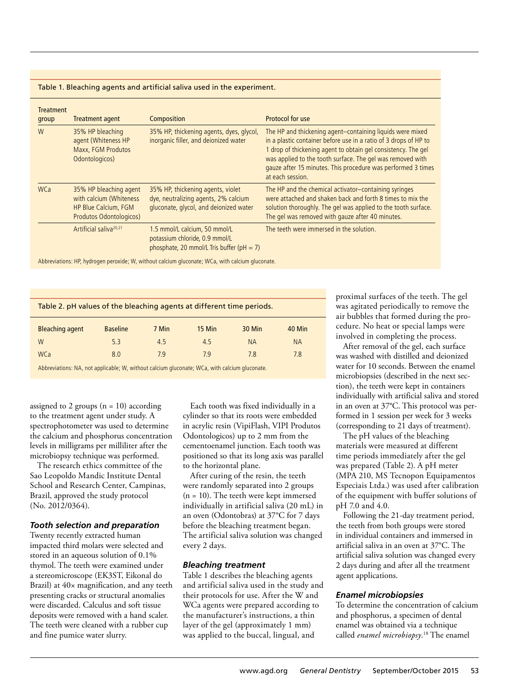#### Table 1. Bleaching agents and artificial saliva used in the experiment.

| <b>Treatment</b><br>group | <b>Treatment agent</b>                                                                               | <b>Composition</b>                                                                                                  | Protocol for use                                                                                                                                                                                                                                                                                                                                 |
|---------------------------|------------------------------------------------------------------------------------------------------|---------------------------------------------------------------------------------------------------------------------|--------------------------------------------------------------------------------------------------------------------------------------------------------------------------------------------------------------------------------------------------------------------------------------------------------------------------------------------------|
| W                         | 35% HP bleaching<br>agent (Whiteness HP<br>Maxx, FGM Produtos<br>Odontologicos)                      | 35% HP, thickening agents, dyes, glycol,<br>inorganic filler, and deionized water                                   | The HP and thickening agent-containing liquids were mixed<br>in a plastic container before use in a ratio of 3 drops of HP to<br>1 drop of thickening agent to obtain gel consistency. The gel<br>was applied to the tooth surface. The gel was removed with<br>gauze after 15 minutes. This procedure was performed 3 times<br>at each session. |
| <b>WCa</b>                | 35% HP bleaching agent<br>with calcium (Whiteness<br>HP Blue Calcium, FGM<br>Produtos Odontologicos) | 35% HP, thickening agents, violet<br>dye, neutralizing agents, 2% calcium<br>gluconate, glycol, and deionized water | The HP and the chemical activator-containing syringes<br>were attached and shaken back and forth 8 times to mix the<br>solution thoroughly. The gel was applied to the tooth surface.<br>The gel was removed with gauze after 40 minutes.                                                                                                        |
|                           | Artificial saliva <sup>20,21</sup>                                                                   | 1.5 mmol/L calcium, 50 mmol/L<br>potassium chloride, 0.9 mmol/L<br>phosphate, 20 mmol/L Tris buffer (pH $=$ 7)      | The teeth were immersed in the solution.                                                                                                                                                                                                                                                                                                         |

Abbreviations: HP, hydrogen peroxide; W, without calcium gluconate; WCa, with calcium gluconate.

| Table 2. pH values of the bleaching agents at different time periods. |       |        |               |               |  |  |  |  |
|-----------------------------------------------------------------------|-------|--------|---------------|---------------|--|--|--|--|
| <b>Baseline</b>                                                       | 7 Min | 15 Min | <b>30 Min</b> | <b>40 Min</b> |  |  |  |  |
| 5.3                                                                   | 4.5   | 4.5    | <b>NA</b>     | <b>NA</b>     |  |  |  |  |
| 8.0                                                                   | 7.9   | 7.9    | 7.8           | 7.8           |  |  |  |  |
|                                                                       |       |        |               |               |  |  |  |  |

Abbreviations: NA, not applicable; W, without calcium gluconate; WCa, with calcium gluconate.

assigned to 2 groups  $(n = 10)$  according to the treatment agent under study. A spectrophotometer was used to determine the calcium and phosphorus concentration levels in milligrams per milliliter after the microbiopsy technique was performed.

The research ethics committee of the Sao Leopoldo Mandic Institute Dental School and Research Center, Campinas, Brazil, approved the study protocol (No. 2012/0364).

#### *Tooth selection and preparation*

Twenty recently extracted human impacted third molars were selected and stored in an aqueous solution of 0.1% thymol. The teeth were examined under a stereomicroscope (EK3ST, Eikonal do Brazil) at  $40\times$  magnification, and any teeth presenting cracks or structural anomalies were discarded. Calculus and soft tissue deposits were removed with a hand scaler. The teeth were cleaned with a rubber cup and fine pumice water slurry.

Each tooth was fixed individually in a cylinder so that its roots were embedded in acrylic resin (VipiFlash, VIPI Produtos Odontologicos) up to 2 mm from the cementoenamel junction. Each tooth was positioned so that its long axis was parallel to the horizontal plane.

After curing of the resin, the teeth were randomly separated into 2 groups (n = 10). The teeth were kept immersed individually in artificial saliva (20 mL) in an oven (Odontobras) at 37°C for 7 days before the bleaching treatment began. The artificial saliva solution was changed every 2 days.

#### *Bleaching treatment*

Table 1 describes the bleaching agents and artificial saliva used in the study and their protocols for use. After the W and WCa agents were prepared according to the manufacturer's instructions, a thin layer of the gel (approximately 1 mm) was applied to the buccal, lingual, and

proximal surfaces of the teeth. The gel was agitated periodically to remove the air bubbles that formed during the procedure. No heat or special lamps were involved in completing the process.

After removal of the gel, each surface was washed with distilled and deionized water for 10 seconds. Between the enamel microbiopsies (described in the next section), the teeth were kept in containers individually with artificial saliva and stored in an oven at 37°C. This protocol was performed in 1 session per week for 3 weeks (corresponding to 21 days of treatment).

The pH values of the bleaching materials were measured at different time periods immediately after the gel was prepared (Table 2). A pH meter (MPA 210, MS Tecnopon Equipamentos Especiais Ltda.) was used after calibration of the equipment with buffer solutions of pH 7.0 and 4.0.

Following the 21-day treatment period, the teeth from both groups were stored in individual containers and immersed in artificial saliva in an oven at 37°C. The artificial saliva solution was changed every 2 days during and after all the treatment agent applications.

#### *Enamel microbiopsies*

To determine the concentration of calcium and phosphorus, a specimen of dental enamel was obtained via a technique called *enamel microbiopsy*. 18 The enamel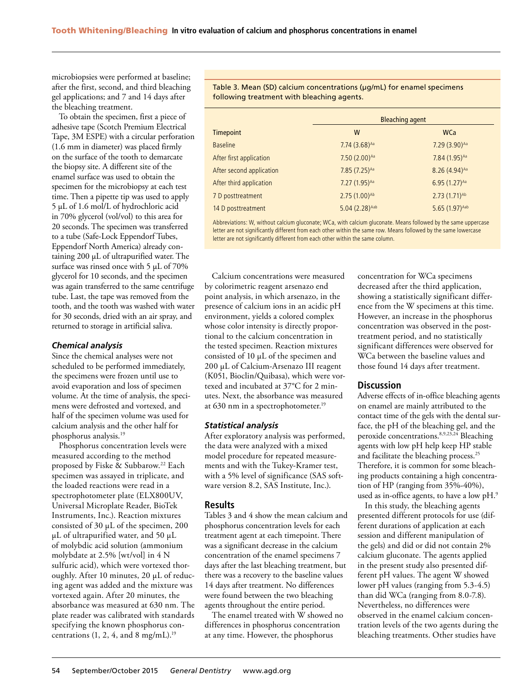microbiopsies were performed at baseline; after the first, second, and third bleaching gel applications; and 7 and 14 days after the bleaching treatment.

To obtain the specimen, first a piece of adhesive tape (Scotch Premium Electrical Tape, 3M ESPE) with a circular perforation (1.6 mm in diameter) was placed firmly on the surface of the tooth to demarcate the biopsy site. A different site of the enamel surface was used to obtain the specimen for the microbiopsy at each test time. Then a pipette tip was used to apply 5 µL of 1.6 mol/L of hydrochloric acid in 70% glycerol (vol/vol) to this area for 20 seconds. The specimen was transferred to a tube (Safe-Lock Eppendorf Tubes, Eppendorf North America) already containing 200 µL of ultrapurified water. The surface was rinsed once with 5 µL of 70% glycerol for 10 seconds, and the specimen was again transferred to the same centrifuge tube. Last, the tape was removed from the tooth, and the tooth was washed with water for 30 seconds, dried with an air spray, and returned to storage in artificial saliva.

#### *Chemical analysis*

Since the chemical analyses were not scheduled to be performed immediately, the specimens were frozen until use to avoid evaporation and loss of specimen volume. At the time of analysis, the specimens were defrosted and vortexed, and half of the specimen volume was used for calcium analysis and the other half for phosphorus analysis.19

Phosphorus concentration levels were measured according to the method proposed by Fiske & Subbarow.<sup>22</sup> Each specimen was assayed in triplicate, and the loaded reactions were read in a spectrophotometer plate (ELX800UV, Universal Microplate Reader, BioTek Instruments, Inc.). Reaction mixtures consisted of 30 µL of the specimen, 200  $\mu$ L of ultrapurified water, and 50  $\mu$ L of molybdic acid solution (ammonium molybdate at 2.5% [wt/vol] in 4 N sulfuric acid), which were vortexed thoroughly. After 10 minutes, 20 µL of reducing agent was added and the mixture was vortexed again. After 20 minutes, the absorbance was measured at 630 nm. The plate reader was calibrated with standards specifying the known phosphorus concentrations  $(1, 2, 4, \text{ and } 8 \text{ mg/mL})$ .<sup>19</sup>

Table 3. Mean (SD) calcium concentrations (µg/mL) for enamel specimens following treatment with bleaching agents.

|                          | <b>Bleaching agent</b>    |                           |  |  |
|--------------------------|---------------------------|---------------------------|--|--|
| <b>Timepoint</b>         | W                         | <b>WCa</b>                |  |  |
| <b>Baseline</b>          | $7.74(3.68)^{Aa}$         | 7.29 (3.90) Aa            |  |  |
| After first application  | 7.50 (2.00) Aa            | 7.84 (1.95) Aa            |  |  |
| After second application | 7.85 (7.25) Aa            | 8.26 (4.94) <sup>Aa</sup> |  |  |
| After third application  | 7.27 (1.95) Aa            | 6.95 (1.27)Aa             |  |  |
| 7 D posttreatment        | 2.75 (1.00) <sup>Ab</sup> | 2.73 (1.71) <sup>Ab</sup> |  |  |
| 14 D posttreatment       | 5.04 (2.28) Aab           | 5.65 (1.97) Aab           |  |  |

Abbreviations: W, without calcium gluconate; WCa, with calcium gluconate. Means followed by the same uppercase letter are not significantly different from each other within the same row. Means followed by the same lowercase letter are not significantly different from each other within the same column.

Calcium concentrations were measured by colorimetric reagent arsenazo end point analysis, in which arsenazo, in the presence of calcium ions in an acidic pH environment, yields a colored complex whose color intensity is directly proportional to the calcium concentration in the tested specimen. Reaction mixtures consisted of 10 µL of the specimen and 200 µL of Calcium-Arsenazo III reagent (K051, Bioclin/Quibasa), which were vortexed and incubated at 37°C for 2 minutes. Next, the absorbance was measured at 630 nm in a spectrophotometer.<sup>19</sup>

#### *Statistical analysis*

After exploratory analysis was performed, the data were analyzed with a mixed model procedure for repeated measurements and with the Tukey-Kramer test, with a 5% level of significance (SAS software version 8.2, SAS Institute, Inc.).

#### **Results**

Tables 3 and 4 show the mean calcium and phosphorus concentration levels for each treatment agent at each timepoint. There was a significant decrease in the calcium concentration of the enamel specimens 7 days after the last bleaching treatment, but there was a recovery to the baseline values 14 days after treatment. No differences were found between the two bleaching agents throughout the entire period.

The enamel treated with  $\bar{\mathrm{W}}$  showed no differences in phosphorus concentration at any time. However, the phosphorus

concentration for WCa specimens decreased after the third application, showing a statistically significant difference from the W specimens at this time. However, an increase in the phosphorus concentration was observed in the posttreatment period, and no statistically significant differences were observed for WCa between the baseline values and those found 14 days after treatment.

### **Discussion**

Adverse effects of in-office bleaching agents on enamel are mainly attributed to the contact time of the gels with the dental surface, the pH of the bleaching gel, and the peroxide concentrations.8,9,23,24 Bleaching agents with low pH help keep HP stable and facilitate the bleaching process.25 Therefore, it is common for some bleaching products containing a high concentration of HP (ranging from 35%-40%), used as in-office agents, to have a low pH.9

In this study, the bleaching agents presented different protocols for use (different durations of application at each session and different manipulation of the gels) and did or did not contain 2% calcium gluconate. The agents applied in the present study also presented different pH values. The agent W showed lower pH values (ranging from 5.3-4.5) than did WCa (ranging from 8.0-7.8). Nevertheless, no differences were observed in the enamel calcium concentration levels of the two agents during the bleaching treatments. Other studies have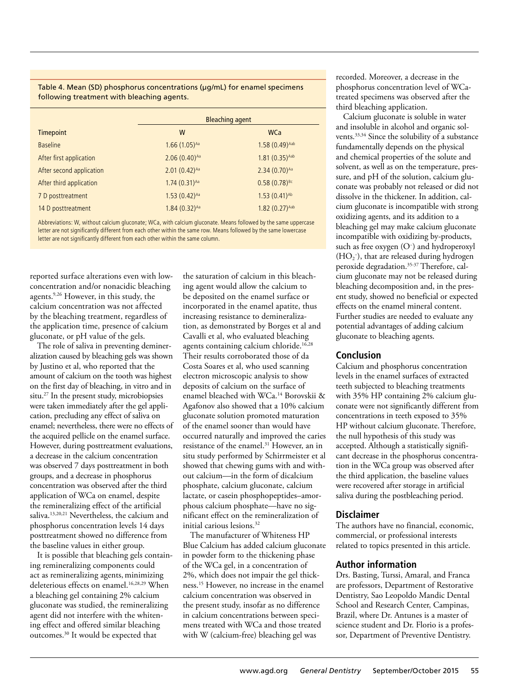#### Table 4. Mean (SD) phosphorus concentrations (µg/mL) for enamel specimens following treatment with bleaching agents.

|                          | <b>Bleaching agent</b> |                     |
|--------------------------|------------------------|---------------------|
| <b>Timepoint</b>         | W                      | <b>WCa</b>          |
| <b>Baseline</b>          | $1.66(1.05)^{Aa}$      | $1.58(0.49)^{Aab}$  |
| After first application  | $2.06(0.40)^{Aa}$      | $1.81(0.35)^{Aab}$  |
| After second application | $2.01(0.42)^{Aa}$      | $2.34(0.70)^{Aa}$   |
| After third application  | $1.74(0.31)^{Aa}$      | $0.58(0.78)^{Bc}$   |
| 7 D posttreatment        | $1.53(0.42)^{Aa}$      | $1.53(0.41)^{Ab}$   |
| 14 D posttreatment       | $1.84(0.32)^{Aa}$      | $1.82 (0.27)^{Aab}$ |

Abbreviations: W, without calcium gluconate; WCa, with calcium gluconate. Means followed by the same uppercase letter are not significantly different from each other within the same row. Means followed by the same lowercase letter are not significantly different from each other within the same column.

reported surface alterations even with lowconcentration and/or nonacidic bleaching agents.9,26 However, in this study, the calcium concentration was not affected by the bleaching treatment, regardless of the application time, presence of calcium gluconate, or pH value of the gels.

The role of saliva in preventing demineralization caused by bleaching gels was shown by Justino et al, who reported that the amount of calcium on the tooth was highest on the first day of bleaching, in vitro and in situ.27 In the present study, microbiopsies were taken immediately after the gel application, precluding any effect of saliva on enamel; nevertheless, there were no effects of the acquired pellicle on the enamel surface. However, during posttreatment evaluations, a decrease in the calcium concentration was observed 7 days posttreatment in both groups, and a decrease in phosphorus concentration was observed after the third application of WCa on enamel, despite the remineralizing effect of the artificial saliva.13,20,21 Nevertheless, the calcium and phosphorus concentration levels 14 days posttreatment showed no difference from the baseline values in either group.

It is possible that bleaching gels containing remineralizing components could act as remineralizing agents, minimizing deleterious effects on enamel.<sup>16,28,29</sup> When a bleaching gel containing 2% calcium gluconate was studied, the remineralizing agent did not interfere with the whitening effect and offered similar bleaching outcomes.30 It would be expected that

the saturation of calcium in this bleaching agent would allow the calcium to be deposited on the enamel surface or incorporated in the enamel apatite, thus increasing resistance to demineralization, as demonstrated by Borges et al and Cavalli et al, who evaluated bleaching agents containing calcium chloride.<sup>16,28</sup> Their results corroborated those of da Costa Soares et al, who used scanning electron microscopic analysis to show deposits of calcium on the surface of enamel bleached with WCa.14 Borovskii & Agafonov also showed that a 10% calcium gluconate solution promoted maturation of the enamel sooner than would have occurred naturally and improved the caries resistance of the enamel.<sup>31</sup> However, an in situ study performed by Schirrmeister et al showed that chewing gums with and without calcium—in the form of dicalcium phosphate, calcium gluconate, calcium lactate, or casein phosphopeptides–amorphous calcium phosphate—have no significant effect on the remineralization of initial carious lesions<sup>32</sup>

The manufacturer of Whiteness HP Blue Calcium has added calcium gluconate in powder form to the thickening phase of the WCa gel, in a concentration of 2%, which does not impair the gel thickness.15 However, no increase in the enamel calcium concentration was observed in the present study, insofar as no difference in calcium concentrations between specimens treated with WCa and those treated with W (calcium-free) bleaching gel was

recorded. Moreover, a decrease in the phosphorus concentration level of WCatreated specimens was observed after the third bleaching application.

Calcium gluconate is soluble in water and insoluble in alcohol and organic solvents.33,34 Since the solubility of a substance fundamentally depends on the physical and chemical properties of the solute and solvent, as well as on the temperature, pressure, and pH of the solution, calcium gluconate was probably not released or did not dissolve in the thickener. In addition, calcium gluconate is incompatible with strong oxidizing agents, and its addition to a bleaching gel may make calcium gluconate incompatible with oxidizing by-products, such as free oxygen (O− ) and hydroperoxyl  $(HO<sub>2</sub><sup>-</sup>)$ , that are released during hydrogen peroxide degradation.35-37 Therefore, calcium gluconate may not be released during bleaching decomposition and, in the present study, showed no beneficial or expected effects on the enamel mineral content. Further studies are needed to evaluate any potential advantages of adding calcium gluconate to bleaching agents.

## **Conclusion**

Calcium and phosphorus concentration levels in the enamel surfaces of extracted teeth subjected to bleaching treatments with 35% HP containing 2% calcium gluconate were not significantly different from concentrations in teeth exposed to 35% HP without calcium gluconate. Therefore, the null hypothesis of this study was accepted. Although a statistically significant decrease in the phosphorus concentration in the WCa group was observed after the third application, the baseline values were recovered after storage in artificial saliva during the postbleaching period.

# **Disclaimer**

The authors have no financial, economic, commercial, or professional interests related to topics presented in this article.

# **Author information**

Drs. Basting, Turssi, Amaral, and Franca are professors, Department of Restorative Dentistry, Sao Leopoldo Mandic Dental School and Research Center, Campinas, Brazil, where Dr. Antunes is a master of science student and Dr. Florio is a professor, Department of Preventive Dentistry.